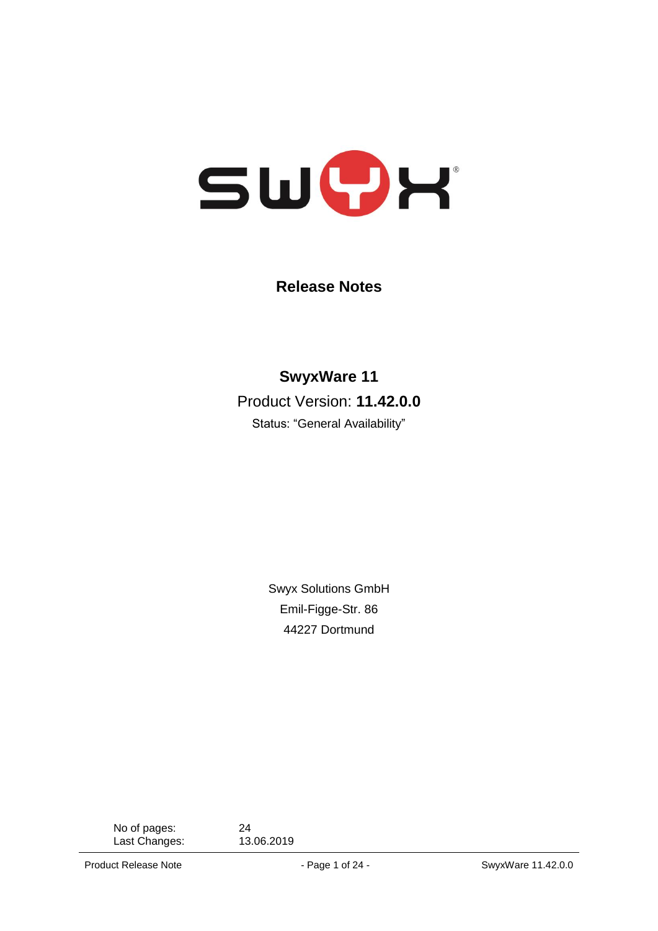

**Release Notes**

**SwyxWare 11** Product Version: **11.42.0.0**

Status: "General Availability"

Swyx Solutions GmbH Emil-Figge-Str. 86 44227 Dortmund

No of pages: 24<br>
Last Changes: 13.06.2019 Last Changes:

Product Release Note **- Page 1 of 24 - SwyxWare 11.42.0.0**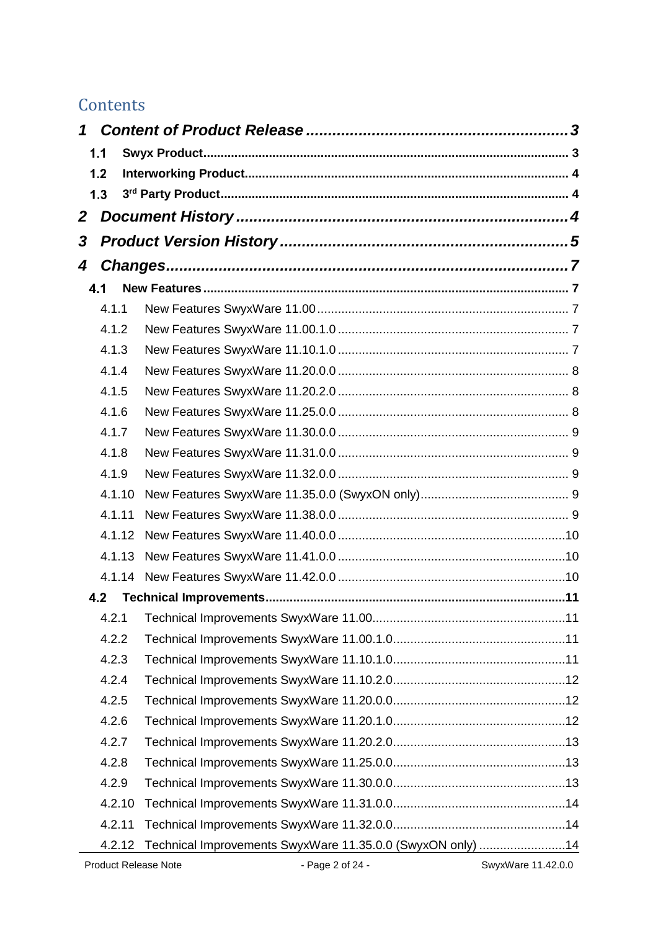# **Contents**

| 1 |        |                                                            |                    |
|---|--------|------------------------------------------------------------|--------------------|
|   | 1.1    |                                                            |                    |
|   | 1.2    |                                                            |                    |
|   | 1.3    |                                                            |                    |
| 2 |        |                                                            |                    |
| 3 |        |                                                            |                    |
| 4 |        |                                                            |                    |
|   | 4.1    |                                                            |                    |
|   | 4.1.1  |                                                            |                    |
|   | 4.1.2  |                                                            |                    |
|   | 4.1.3  |                                                            |                    |
|   | 4.1.4  |                                                            |                    |
|   | 4.1.5  |                                                            |                    |
|   | 4.1.6  |                                                            |                    |
|   | 4.1.7  |                                                            |                    |
|   | 4.1.8  |                                                            |                    |
|   | 4.1.9  |                                                            |                    |
|   | 4.1.10 |                                                            |                    |
|   | 4.1.11 |                                                            |                    |
|   | 4.1.12 |                                                            |                    |
|   | 4.1.13 |                                                            |                    |
|   | 4.1.14 |                                                            |                    |
|   | 4.2    |                                                            |                    |
|   | 4.2.1  |                                                            |                    |
|   | 4.2.2  |                                                            |                    |
|   | 4.2.3  |                                                            |                    |
|   | 4.2.4  |                                                            |                    |
|   | 4.2.5  |                                                            |                    |
|   | 4.2.6  |                                                            |                    |
|   | 4.2.7  |                                                            |                    |
|   | 4.2.8  |                                                            |                    |
|   | 4.2.9  |                                                            |                    |
|   | 4.2.10 |                                                            |                    |
|   | 4.2.11 |                                                            |                    |
|   | 4.2.12 | Technical Improvements SwyxWare 11.35.0.0 (SwyxON only) 14 |                    |
|   |        | Product Release Note<br>- Page 2 of 24 -                   | SwyxWare 11.42.0.0 |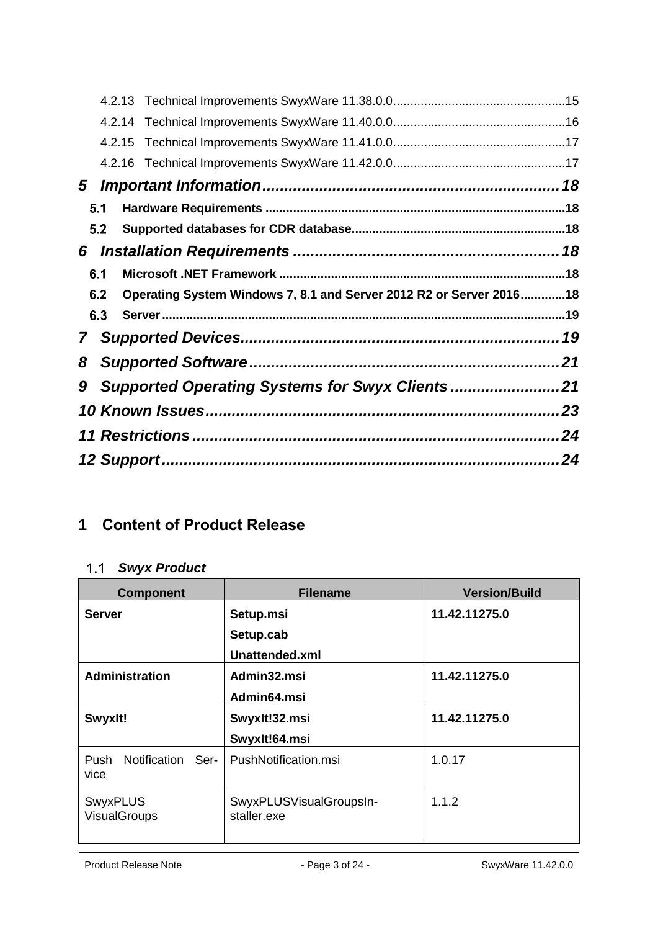|   |     | 4.2.15 |                                                                     |    |
|---|-----|--------|---------------------------------------------------------------------|----|
|   |     |        |                                                                     |    |
| 5 |     |        |                                                                     |    |
|   | 5.1 |        |                                                                     |    |
|   | 5.2 |        |                                                                     |    |
| 6 |     |        |                                                                     |    |
|   | 6.1 |        |                                                                     |    |
|   | 6.2 |        | Operating System Windows 7, 8.1 and Server 2012 R2 or Server 201618 |    |
|   | 6.3 |        |                                                                     |    |
| 7 |     |        |                                                                     |    |
| 8 |     |        |                                                                     |    |
| 9 |     |        |                                                                     |    |
|   |     |        |                                                                     |    |
|   |     |        |                                                                     |    |
|   |     |        |                                                                     | 24 |
|   |     |        |                                                                     |    |

# <span id="page-2-0"></span>**1 Content of Product Release**

# <span id="page-2-1"></span>*Swyx Product*

| <b>Component</b>                     | <b>Filename</b>                        | <b>Version/Build</b> |
|--------------------------------------|----------------------------------------|----------------------|
| <b>Server</b>                        | Setup.msi                              | 11.42.11275.0        |
|                                      | Setup.cab                              |                      |
|                                      | Unattended.xml                         |                      |
| <b>Administration</b>                | Admin32.msi                            | 11.42.11275.0        |
|                                      | Admin64.msi                            |                      |
| Swyxlt!                              | Swyxlt!32.msi                          | 11.42.11275.0        |
|                                      | Swyxlt!64.msi                          |                      |
| Push<br>Notification<br>-Ser<br>vice | PushNotification.msi                   | 1.0.17               |
| <b>SwyxPLUS</b><br>VisualGroups      | SwyxPLUSVisualGroupsIn-<br>staller.exe | 1.1.2                |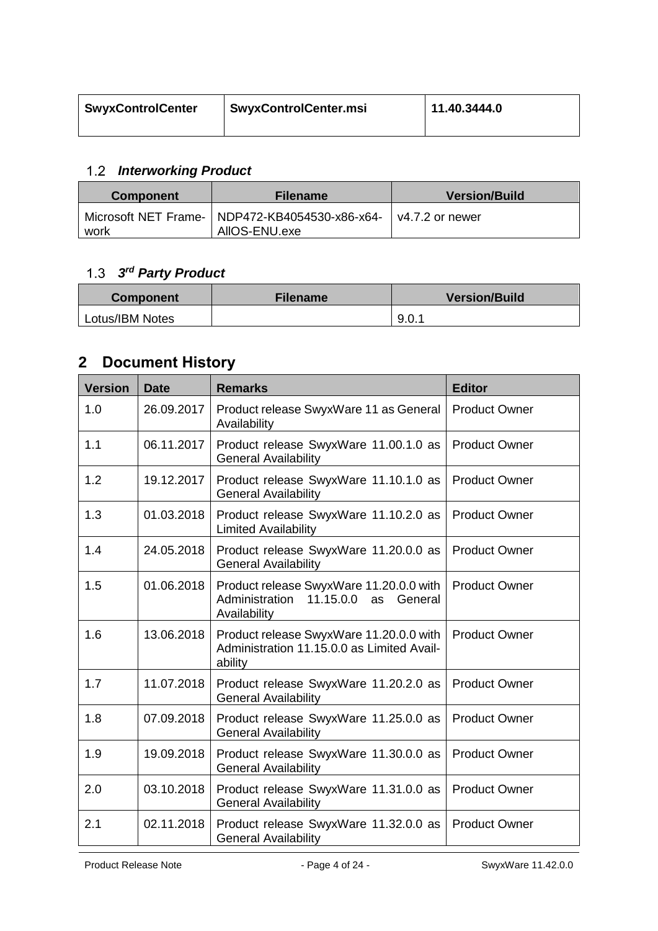| <b>SwyxControlCenter</b> | <b>SwyxControlCenter.msi</b> | 11.40.3444.0 |
|--------------------------|------------------------------|--------------|
|                          |                              |              |

## <span id="page-3-0"></span>*Interworking Product*

| <b>Component</b> | <b>Filename</b>                                                   | <b>Version/Build</b> |
|------------------|-------------------------------------------------------------------|----------------------|
| work             | Microsoft NET Frame-   NDP472-KB4054530-x86-x64-<br>AIIOS-ENU.exe | l v4.7.2 or newer    |

#### <span id="page-3-1"></span>*3 rd Party Product*

| <b>Component</b> | <b>Filename</b> | <b>Version/Build</b> |
|------------------|-----------------|----------------------|
| Lotus/IBM Notes  |                 | 9.0.1                |

# <span id="page-3-2"></span>**2 Document History**

| <b>Version</b> | <b>Date</b> | <b>Remarks</b>                                                                                    | <b>Editor</b>        |
|----------------|-------------|---------------------------------------------------------------------------------------------------|----------------------|
| 1.0            | 26.09.2017  | Product release SwyxWare 11 as General<br>Availability                                            | <b>Product Owner</b> |
| 1.1            | 06.11.2017  | Product release SwyxWare 11.00.1.0 as<br><b>General Availability</b>                              | <b>Product Owner</b> |
| 1.2            | 19.12.2017  | Product release SwyxWare 11.10.1.0 as<br><b>General Availability</b>                              | <b>Product Owner</b> |
| 1.3            | 01.03.2018  | Product release SwyxWare 11.10.2.0 as<br><b>Limited Availability</b>                              | <b>Product Owner</b> |
| 1.4            | 24.05.2018  | Product release SwyxWare 11.20.0.0 as<br><b>General Availability</b>                              | <b>Product Owner</b> |
| 1.5            | 01.06.2018  | Product release SwyxWare 11.20.0.0 with<br>Administration 11.15.0.0 as<br>General<br>Availability | <b>Product Owner</b> |
| 1.6            | 13.06.2018  | Product release SwyxWare 11.20.0.0 with<br>Administration 11.15.0.0 as Limited Avail-<br>ability  | <b>Product Owner</b> |
| 1.7            | 11.07.2018  | Product release SwyxWare 11.20.2.0 as<br><b>General Availability</b>                              | <b>Product Owner</b> |
| 1.8            | 07.09.2018  | Product release SwyxWare 11.25.0.0 as<br><b>General Availability</b>                              | <b>Product Owner</b> |
| 1.9            | 19.09.2018  | Product release SwyxWare 11.30.0.0 as<br><b>General Availability</b>                              | <b>Product Owner</b> |
| 2.0            | 03.10.2018  | Product release SwyxWare 11.31.0.0 as<br><b>General Availability</b>                              | <b>Product Owner</b> |
| 2.1            | 02.11.2018  | Product release SwyxWare 11.32.0.0 as<br><b>General Availability</b>                              | <b>Product Owner</b> |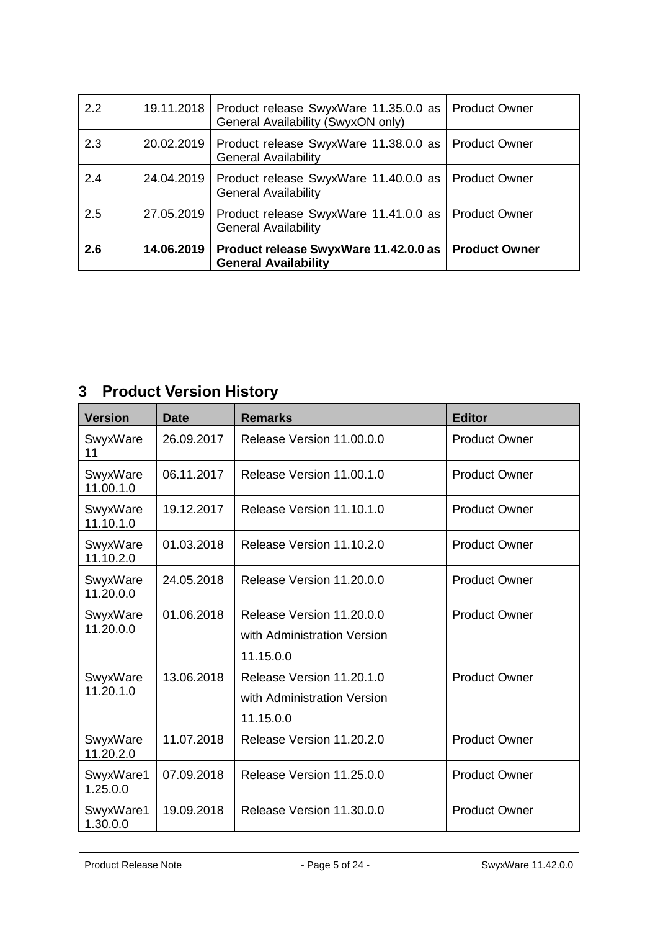| 2.2 |            | 19.11.2018   Product release SwyxWare 11.35.0.0 as<br>General Availability (SwyxON only) | <b>Product Owner</b> |
|-----|------------|------------------------------------------------------------------------------------------|----------------------|
| 2.3 | 20.02.2019 | Product release SwyxWare 11.38.0.0 as   Product Owner<br><b>General Availability</b>     |                      |
| 2.4 | 24.04.2019 | Product release SwyxWare 11.40.0.0 as   Product Owner<br><b>General Availability</b>     |                      |
| 2.5 | 27.05.2019 | Product release SwyxWare 11.41.0.0 as   Product Owner<br><b>General Availability</b>     |                      |
| 2.6 | 14.06.2019 | Product release SwyxWare 11.42.0.0 as   Product Owner<br><b>General Availability</b>     |                      |

# <span id="page-4-0"></span>**3 Product Version History**

| <b>Version</b>        | <b>Date</b> | <b>Remarks</b>                                                        | <b>Editor</b>        |
|-----------------------|-------------|-----------------------------------------------------------------------|----------------------|
| SwyxWare<br>11        | 26.09.2017  | Release Version 11,00,0,0                                             | <b>Product Owner</b> |
| SwyxWare<br>11.00.1.0 | 06.11.2017  | Release Version 11.00.1.0                                             | <b>Product Owner</b> |
| SwyxWare<br>11.10.1.0 | 19.12.2017  | Release Version 11.10.1.0                                             | <b>Product Owner</b> |
| SwyxWare<br>11.10.2.0 | 01.03.2018  | Release Version 11.10.2.0                                             | <b>Product Owner</b> |
| SwyxWare<br>11.20.0.0 | 24.05.2018  | Release Version 11,20,0,0                                             | <b>Product Owner</b> |
| SwyxWare<br>11.20.0.0 | 01.06.2018  | Release Version 11,20.0.0<br>with Administration Version<br>11.15.0.0 | <b>Product Owner</b> |
| SwyxWare<br>11.20.1.0 | 13.06.2018  | Release Version 11.20.1.0<br>with Administration Version<br>11.15.0.0 | <b>Product Owner</b> |
| SwyxWare<br>11.20.2.0 | 11.07.2018  | Release Version 11.20.2.0                                             | <b>Product Owner</b> |
| SwyxWare1<br>1.25.0.0 | 07.09.2018  | Release Version 11,25,0,0                                             | <b>Product Owner</b> |
| SwyxWare1<br>1.30.0.0 | 19.09.2018  | Release Version 11,30,0,0                                             | <b>Product Owner</b> |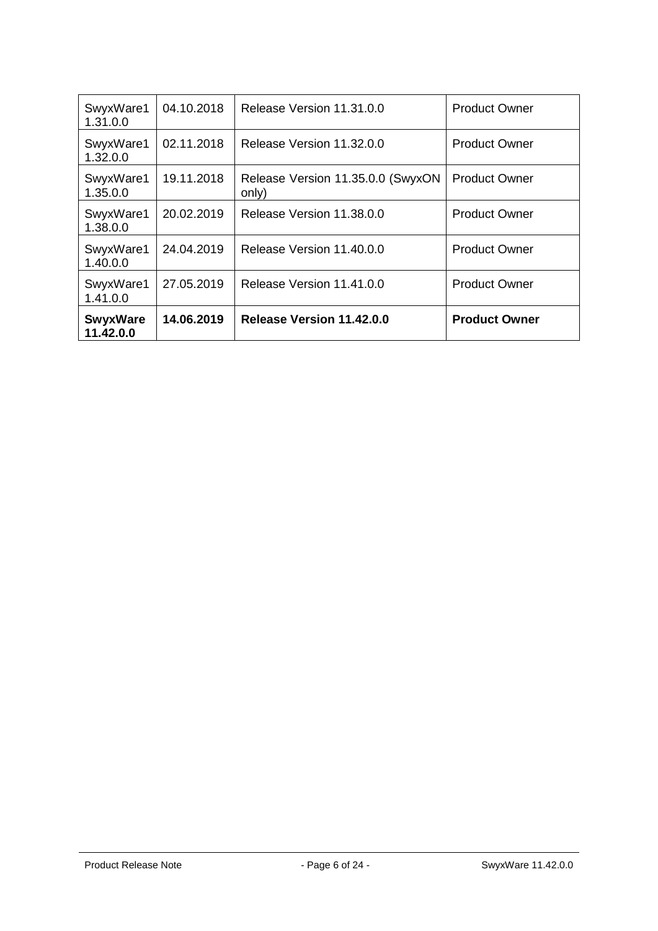| SwyxWare1<br>1.31.0.0        | 04.10.2018 | Release Version 11.31.0.0                  | <b>Product Owner</b> |
|------------------------------|------------|--------------------------------------------|----------------------|
| SwyxWare1<br>1.32.0.0        | 02.11.2018 | Release Version 11.32.0.0                  | <b>Product Owner</b> |
| SwyxWare1<br>1.35.0.0        | 19.11.2018 | Release Version 11.35.0.0 (SwyxON<br>only) | <b>Product Owner</b> |
| SwyxWare1<br>1.38.0.0        | 20.02.2019 | Release Version 11,38,0,0                  | <b>Product Owner</b> |
| SwyxWare1<br>1.40.0.0        | 24.04.2019 | Release Version 11.40.0.0                  | <b>Product Owner</b> |
| SwyxWare1<br>1.41.0.0        | 27.05.2019 | Release Version 11.41.0.0                  | <b>Product Owner</b> |
| <b>SwyxWare</b><br>11.42.0.0 | 14.06.2019 | Release Version 11.42.0.0                  | <b>Product Owner</b> |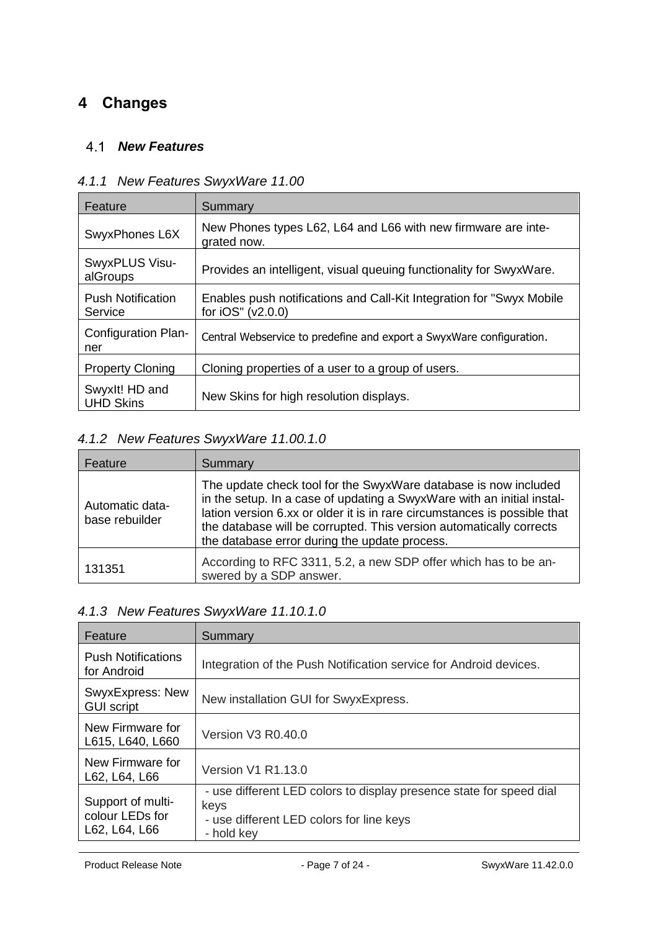## <span id="page-6-1"></span><span id="page-6-0"></span>**4 Changes**

#### *New Features*

| Feature                             | Summary                                                                                      |
|-------------------------------------|----------------------------------------------------------------------------------------------|
| SwyxPhones L6X                      | New Phones types L62, L64 and L66 with new firmware are inte-<br>grated now.                 |
| SwyxPLUS Visu-<br>alGroups          | Provides an intelligent, visual queuing functionality for SwyxWare.                          |
| <b>Push Notification</b><br>Service | Enables push notifications and Call-Kit Integration for "Swyx Mobile"<br>for $iOS''(v2.0.0)$ |
| Configuration Plan-<br>ner          | Central Webservice to predefine and export a SwyxWare configuration.                         |
| <b>Property Cloning</b>             | Cloning properties of a user to a group of users.                                            |
| Swyxlt! HD and<br><b>UHD Skins</b>  | New Skins for high resolution displays.                                                      |

## <span id="page-6-2"></span>*4.1.1 New Features SwyxWare 11.00*

## <span id="page-6-3"></span>*4.1.2 New Features SwyxWare 11.00.1.0*

| Feature                           | Summary                                                                                                                                                                                                                                                                                                                                        |
|-----------------------------------|------------------------------------------------------------------------------------------------------------------------------------------------------------------------------------------------------------------------------------------------------------------------------------------------------------------------------------------------|
| Automatic data-<br>base rebuilder | The update check tool for the SwyxWare database is now included<br>in the setup. In a case of updating a SwyxWare with an initial instal-<br>lation version 6.xx or older it is in rare circumstances is possible that<br>the database will be corrupted. This version automatically corrects<br>the database error during the update process. |
| 131351                            | According to RFC 3311, 5.2, a new SDP offer which has to be an-<br>swered by a SDP answer.                                                                                                                                                                                                                                                     |

## <span id="page-6-4"></span>*4.1.3 New Features SwyxWare 11.10.1.0*

| Feature                                               | Summary                                                                                                                               |
|-------------------------------------------------------|---------------------------------------------------------------------------------------------------------------------------------------|
| <b>Push Notifications</b><br>for Android              | Integration of the Push Notification service for Android devices.                                                                     |
| SwyxExpress: New<br><b>GUI script</b>                 | New installation GUI for SwyxExpress.                                                                                                 |
| New Firmware for<br>L615, L640, L660                  | Version V3 R0.40.0                                                                                                                    |
| New Firmware for<br>L62, L64, L66                     | <b>Version V1 R1.13.0</b>                                                                                                             |
| Support of multi-<br>colour LEDs for<br>L62, L64, L66 | - use different LED colors to display presence state for speed dial<br>keys<br>- use different LED colors for line keys<br>- hold kev |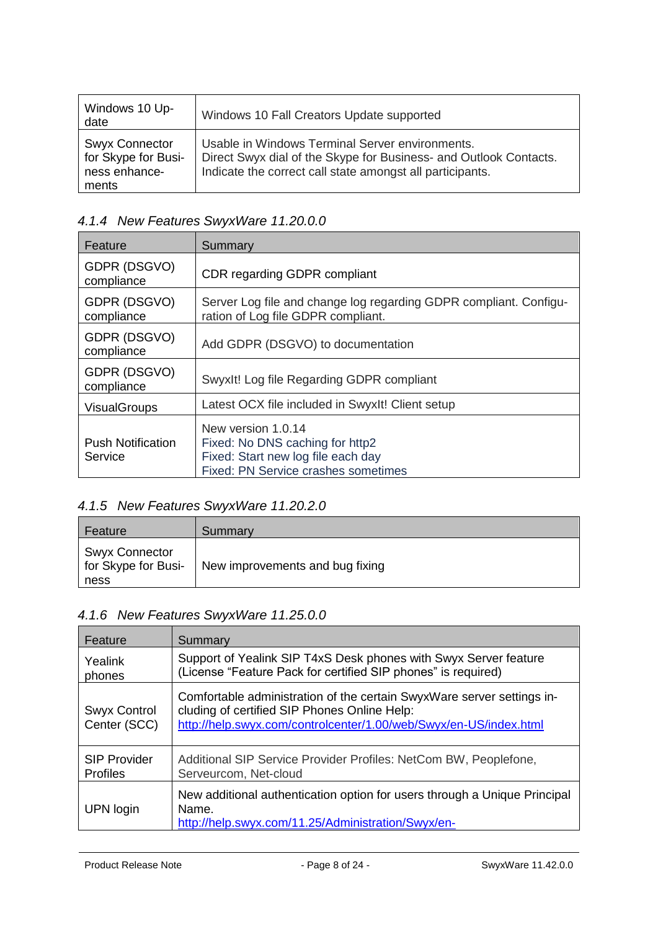| Windows 10 Up-<br>date                                                 | Windows 10 Fall Creators Update supported                                                                                                                                         |
|------------------------------------------------------------------------|-----------------------------------------------------------------------------------------------------------------------------------------------------------------------------------|
| <b>Swyx Connector</b><br>for Skype for Busi-<br>ness enhance-<br>ments | Usable in Windows Terminal Server environments.<br>Direct Swyx dial of the Skype for Business- and Outlook Contacts.<br>Indicate the correct call state amongst all participants. |

## <span id="page-7-0"></span>*4.1.4 New Features SwyxWare 11.20.0.0*

| Feature                             | Summary                                                                                                                            |
|-------------------------------------|------------------------------------------------------------------------------------------------------------------------------------|
| GDPR (DSGVO)<br>compliance          | <b>CDR regarding GDPR compliant</b>                                                                                                |
| GDPR (DSGVO)<br>compliance          | Server Log file and change log regarding GDPR compliant. Configu-<br>ration of Log file GDPR compliant.                            |
| GDPR (DSGVO)<br>compliance          | Add GDPR (DSGVO) to documentation                                                                                                  |
| GDPR (DSGVO)<br>compliance          | Swyxlt! Log file Regarding GDPR compliant                                                                                          |
| <b>VisualGroups</b>                 | Latest OCX file included in SwyxIt! Client setup                                                                                   |
| <b>Push Notification</b><br>Service | New version 1.0.14<br>Fixed: No DNS caching for http2<br>Fixed: Start new log file each day<br>Fixed: PN Service crashes sometimes |

## <span id="page-7-1"></span>*4.1.5 New Features SwyxWare 11.20.2.0*

| Feature                                              | Summary                         |
|------------------------------------------------------|---------------------------------|
| <b>Swyx Connector</b><br>for Skype for Busi-<br>ness | New improvements and bug fixing |

# <span id="page-7-2"></span>*4.1.6 New Features SwyxWare 11.25.0.0*

| Feature                                | Summary                                                                                                                                                                                     |
|----------------------------------------|---------------------------------------------------------------------------------------------------------------------------------------------------------------------------------------------|
| Yealink<br>phones                      | Support of Yealink SIP T4xS Desk phones with Swyx Server feature<br>(License "Feature Pack for certified SIP phones" is required)                                                           |
| Swyx Control<br>Center (SCC)           | Comfortable administration of the certain SwyxWare server settings in-<br>cluding of certified SIP Phones Online Help:<br>http://help.swyx.com/controlcenter/1.00/web/Swyx/en-US/index.html |
| <b>SIP Provider</b><br><b>Profiles</b> | Additional SIP Service Provider Profiles: NetCom BW, Peoplefone,<br>Serveurcom, Net-cloud                                                                                                   |
| UPN login                              | New additional authentication option for users through a Unique Principal<br>Name.<br>http://help.swyx.com/11.25/Administration/Swyx/en-                                                    |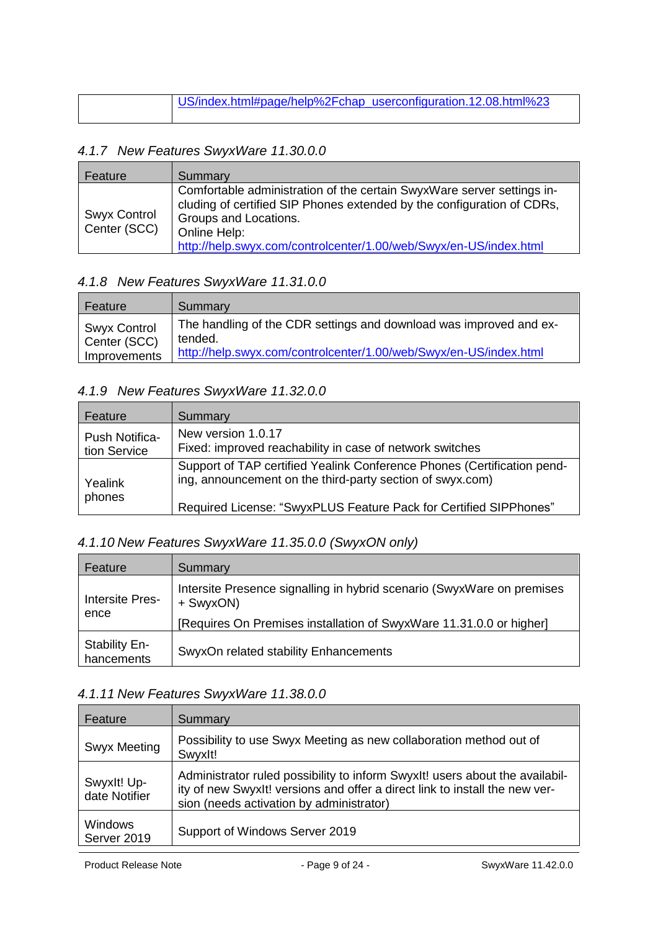| US/index.html#page/help%2Fchap_userconfiguration.12.08.html%23 |
|----------------------------------------------------------------|
|                                                                |

#### <span id="page-8-0"></span>*4.1.7 New Features SwyxWare 11.30.0.0*

| Feature                             | Summary                                                                                                                                                                                                                                                        |
|-------------------------------------|----------------------------------------------------------------------------------------------------------------------------------------------------------------------------------------------------------------------------------------------------------------|
| <b>Swyx Control</b><br>Center (SCC) | Comfortable administration of the certain SwyxWare server settings in-<br>cluding of certified SIP Phones extended by the configuration of CDRs,<br>Groups and Locations.<br>Online Help:<br>http://help.swyx.com/controlcenter/1.00/web/Swyx/en-US/index.html |

### <span id="page-8-1"></span>*4.1.8 New Features SwyxWare 11.31.0.0*

| Feature                             | Summary                                                                       |
|-------------------------------------|-------------------------------------------------------------------------------|
| <b>Swyx Control</b><br>Center (SCC) | The handling of the CDR settings and download was improved and ex-<br>tended. |
| Improvements                        | http://help.swyx.com/controlcenter/1.00/web/Swyx/en-US/index.html             |

### <span id="page-8-2"></span>*4.1.9 New Features SwyxWare 11.32.0.0*

| Feature                        | Summary                                                                                                                                                                                                   |
|--------------------------------|-----------------------------------------------------------------------------------------------------------------------------------------------------------------------------------------------------------|
| Push Notifica-<br>tion Service | New version 1.0.17<br>Fixed: improved reachability in case of network switches                                                                                                                            |
| Yealink<br>phones              | Support of TAP certified Yealink Conference Phones (Certification pend-<br>ing, announcement on the third-party section of swyx.com)<br>Required License: "SwyxPLUS Feature Pack for Certified SIPPhones" |

## <span id="page-8-3"></span>*4.1.10 New Features SwyxWare 11.35.0.0 (SwyxON only)*

| Feature                            | Summary                                                                             |
|------------------------------------|-------------------------------------------------------------------------------------|
| <b>Intersite Pres-</b><br>ence     | Intersite Presence signalling in hybrid scenario (SwyxWare on premises<br>+ SwyxON) |
|                                    | [Requires On Premises installation of SwyxWare 11.31.0.0 or higher]                 |
| <b>Stability En-</b><br>hancements | SwyxOn related stability Enhancements                                               |

#### <span id="page-8-4"></span>*4.1.11 New Features SwyxWare 11.38.0.0*

| Feature                       | Summary                                                                                                                                                                                                 |
|-------------------------------|---------------------------------------------------------------------------------------------------------------------------------------------------------------------------------------------------------|
| <b>Swyx Meeting</b>           | Possibility to use Swyx Meeting as new collaboration method out of<br>Swyxlt!                                                                                                                           |
| Swyxlt! Up-<br>date Notifier  | Administrator ruled possibility to inform SwyxIt! users about the availabil-<br>ity of new Swyxlt! versions and offer a direct link to install the new ver-<br>sion (needs activation by administrator) |
| <b>Windows</b><br>Server 2019 | Support of Windows Server 2019                                                                                                                                                                          |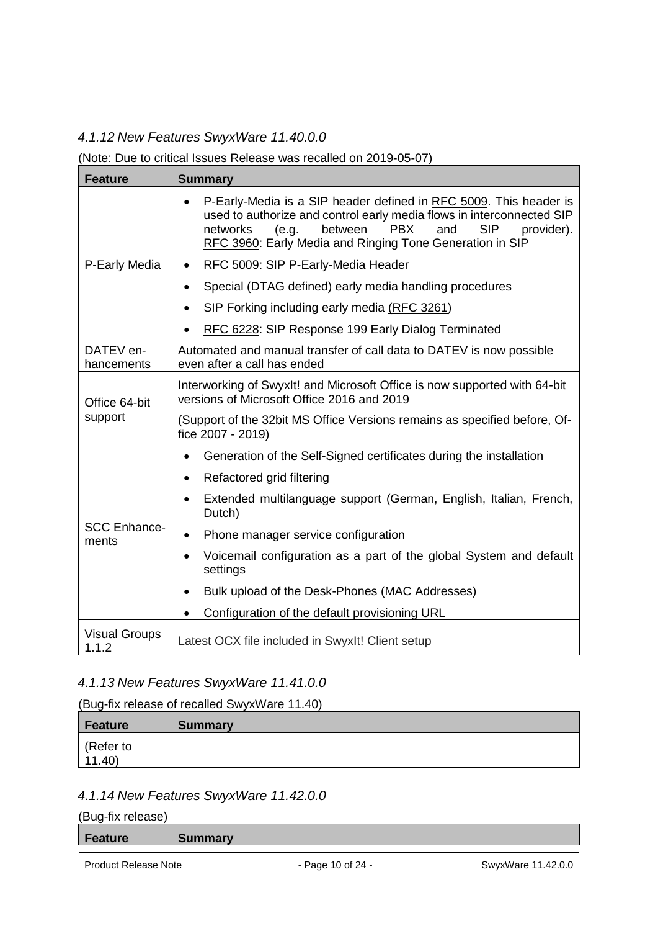## <span id="page-9-0"></span>*4.1.12 New Features SwyxWare 11.40.0.0*

#### (Note: Due to critical Issues Release was recalled on 2019-05-07)

| <b>Feature</b>                | <b>Summary</b>                                                                                                                                                                                                                                                                                       |
|-------------------------------|------------------------------------------------------------------------------------------------------------------------------------------------------------------------------------------------------------------------------------------------------------------------------------------------------|
|                               | P-Early-Media is a SIP header defined in RFC 5009. This header is<br>$\bullet$<br>used to authorize and control early media flows in interconnected SIP<br>between<br><b>PBX</b><br>and<br><b>SIP</b><br>networks<br>(e.g.<br>provider).<br>RFC 3960: Early Media and Ringing Tone Generation in SIP |
| P-Early Media                 | RFC 5009: SIP P-Early-Media Header                                                                                                                                                                                                                                                                   |
|                               | Special (DTAG defined) early media handling procedures<br>٠                                                                                                                                                                                                                                          |
|                               | SIP Forking including early media (RFC 3261)<br>$\bullet$                                                                                                                                                                                                                                            |
|                               | RFC 6228: SIP Response 199 Early Dialog Terminated<br>$\bullet$                                                                                                                                                                                                                                      |
| DATEV en-<br>hancements       | Automated and manual transfer of call data to DATEV is now possible<br>even after a call has ended                                                                                                                                                                                                   |
| Office 64-bit<br>support      | Interworking of SwyxIt! and Microsoft Office is now supported with 64-bit<br>versions of Microsoft Office 2016 and 2019                                                                                                                                                                              |
|                               | (Support of the 32bit MS Office Versions remains as specified before, Of-<br>fice 2007 - 2019)                                                                                                                                                                                                       |
|                               | Generation of the Self-Signed certificates during the installation<br>$\bullet$                                                                                                                                                                                                                      |
|                               | Refactored grid filtering<br>٠                                                                                                                                                                                                                                                                       |
| <b>SCC Enhance-</b><br>ments  | Extended multilanguage support (German, English, Italian, French,<br>Dutch)                                                                                                                                                                                                                          |
|                               | Phone manager service configuration<br>$\bullet$                                                                                                                                                                                                                                                     |
|                               | Voicemail configuration as a part of the global System and default<br>settings                                                                                                                                                                                                                       |
|                               | Bulk upload of the Desk-Phones (MAC Addresses)                                                                                                                                                                                                                                                       |
|                               | Configuration of the default provisioning URL                                                                                                                                                                                                                                                        |
| <b>Visual Groups</b><br>1.1.2 | Latest OCX file included in SwyxIt! Client setup                                                                                                                                                                                                                                                     |

### <span id="page-9-1"></span>*4.1.13 New Features SwyxWare 11.41.0.0*

#### (Bug-fix release of recalled SwyxWare 11.40)

| Feature            | <b>Summary</b> |
|--------------------|----------------|
| (Refer to<br>11.40 |                |

## <span id="page-9-2"></span>*4.1.14 New Features SwyxWare 11.42.0.0*

(Bug-fix release)

| / Fe<br>eature | ummary |
|----------------|--------|
|                |        |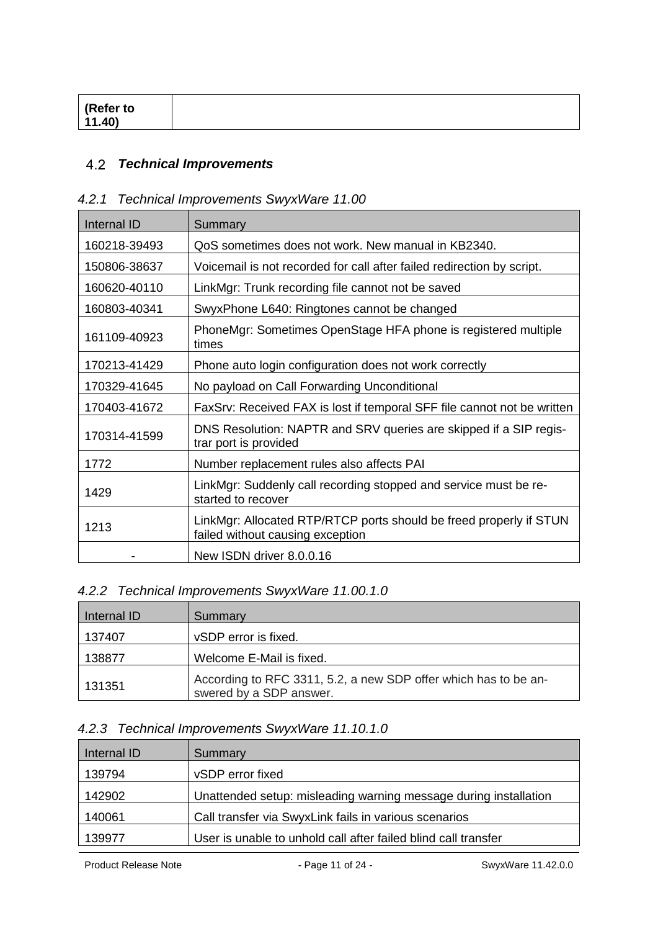| <sup>l</sup> (Refer to<br>11.40 |  |
|---------------------------------|--|
|                                 |  |

#### <span id="page-10-0"></span> $4.2$ *Technical Improvements*

## <span id="page-10-1"></span>*4.2.1 Technical Improvements SwyxWare 11.00*

| Internal ID  | Summary                                                                                                |
|--------------|--------------------------------------------------------------------------------------------------------|
| 160218-39493 | QoS sometimes does not work. New manual in KB2340.                                                     |
| 150806-38637 | Voicemail is not recorded for call after failed redirection by script.                                 |
| 160620-40110 | LinkMgr: Trunk recording file cannot not be saved                                                      |
| 160803-40341 | SwyxPhone L640: Ringtones cannot be changed                                                            |
| 161109-40923 | PhoneMgr: Sometimes OpenStage HFA phone is registered multiple<br>times                                |
| 170213-41429 | Phone auto login configuration does not work correctly                                                 |
| 170329-41645 | No payload on Call Forwarding Unconditional                                                            |
| 170403-41672 | FaxSrv: Received FAX is lost if temporal SFF file cannot not be written                                |
| 170314-41599 | DNS Resolution: NAPTR and SRV queries are skipped if a SIP regis-<br>trar port is provided             |
| 1772         | Number replacement rules also affects PAI                                                              |
| 1429         | LinkMgr: Suddenly call recording stopped and service must be re-<br>started to recover                 |
| 1213         | LinkMgr: Allocated RTP/RTCP ports should be freed properly if STUN<br>failed without causing exception |
|              | New ISDN driver 8.0.0.16                                                                               |

## <span id="page-10-2"></span>*4.2.2 Technical Improvements SwyxWare 11.00.1.0*

| Internal ID | Summary                                                                                    |
|-------------|--------------------------------------------------------------------------------------------|
| 137407      | vSDP error is fixed.                                                                       |
| 138877      | Welcome E-Mail is fixed.                                                                   |
| 131351      | According to RFC 3311, 5.2, a new SDP offer which has to be an-<br>swered by a SDP answer. |

## <span id="page-10-3"></span>*4.2.3 Technical Improvements SwyxWare 11.10.1.0*

| Internal ID | <b>Summary</b>                                                   |
|-------------|------------------------------------------------------------------|
| 139794      | vSDP error fixed                                                 |
| 142902      | Unattended setup: misleading warning message during installation |
| 140061      | Call transfer via SwyxLink fails in various scenarios            |
| 139977      | User is unable to unhold call after failed blind call transfer   |

Product Release Note **- Page 11 of 24 - SwyxWare 11.42.0.0**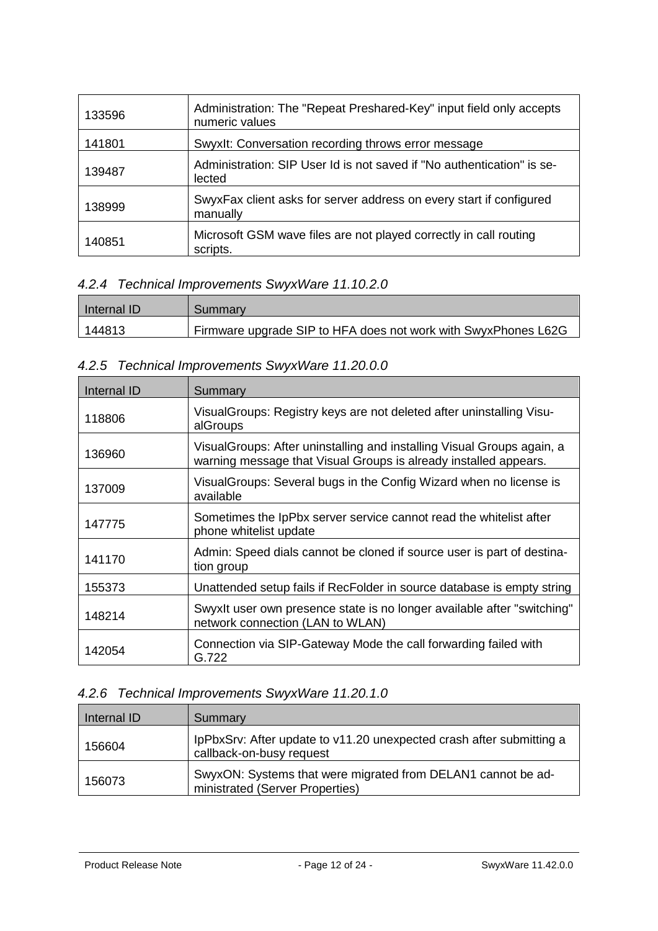| 133596 | Administration: The "Repeat Preshared-Key" input field only accepts<br>numeric values |
|--------|---------------------------------------------------------------------------------------|
| 141801 | Swyxlt: Conversation recording throws error message                                   |
| 139487 | Administration: SIP User Id is not saved if "No authentication" is se-<br>lected      |
| 138999 | SwyxFax client asks for server address on every start if configured<br>manually       |
| 140851 | Microsoft GSM wave files are not played correctly in call routing<br>scripts.         |

# <span id="page-11-0"></span>*4.2.4 Technical Improvements SwyxWare 11.10.2.0*

| Internal ID | Summary                                                        |
|-------------|----------------------------------------------------------------|
| 144813      | Firmware upgrade SIP to HFA does not work with SwyxPhones L62G |

## <span id="page-11-1"></span>*4.2.5 Technical Improvements SwyxWare 11.20.0.0*

| Internal ID | Summary                                                                                                                                     |
|-------------|---------------------------------------------------------------------------------------------------------------------------------------------|
| 118806      | Visual Groups: Registry keys are not deleted after uninstalling Visu-<br>alGroups                                                           |
| 136960      | Visual Groups: After uninstalling and installing Visual Groups again, a<br>warning message that Visual Groups is already installed appears. |
| 137009      | Visual Groups: Several bugs in the Config Wizard when no license is<br>available                                                            |
| 147775      | Sometimes the IpPbx server service cannot read the whitelist after<br>phone whitelist update                                                |
| 141170      | Admin: Speed dials cannot be cloned if source user is part of destina-<br>tion group                                                        |
| 155373      | Unattended setup fails if RecFolder in source database is empty string                                                                      |
| 148214      | Swyxlt user own presence state is no longer available after "switching"<br>network connection (LAN to WLAN)                                 |
| 142054      | Connection via SIP-Gateway Mode the call forwarding failed with<br>G.722                                                                    |

## <span id="page-11-2"></span>*4.2.6 Technical Improvements SwyxWare 11.20.1.0*

| Internal ID | Summary                                                                                          |
|-------------|--------------------------------------------------------------------------------------------------|
| 156604      | IpPbxSrv: After update to v11.20 unexpected crash after submitting a<br>callback-on-busy request |
| 156073      | SwyxON: Systems that were migrated from DELAN1 cannot be ad-<br>ministrated (Server Properties)  |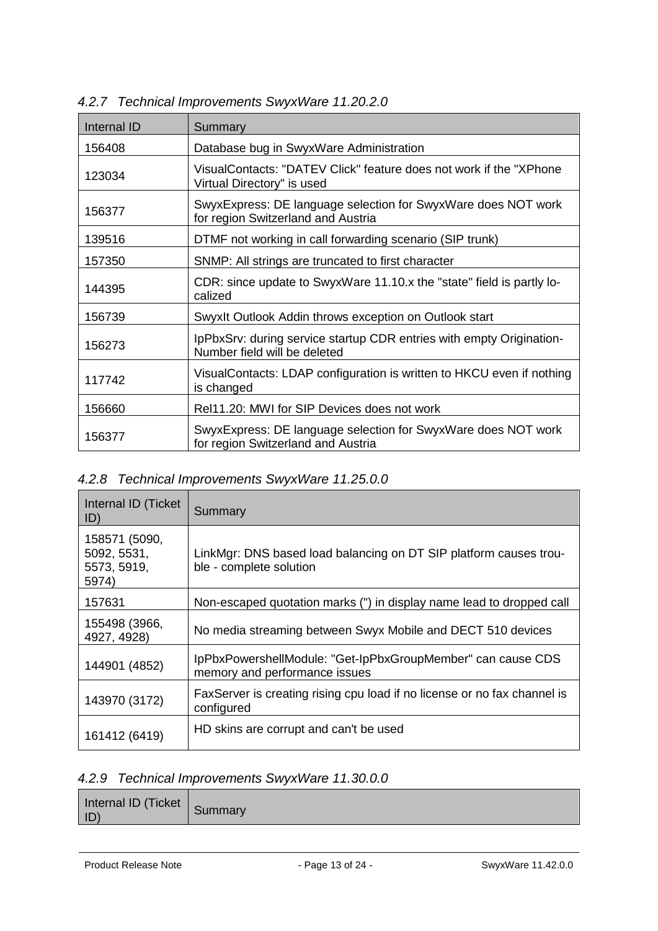| Internal ID | Summary                                                                                              |
|-------------|------------------------------------------------------------------------------------------------------|
| 156408      | Database bug in SwyxWare Administration                                                              |
| 123034      | VisualContacts: "DATEV Click" feature does not work if the "XPhone<br>Virtual Directory" is used     |
| 156377      | SwyxExpress: DE language selection for SwyxWare does NOT work<br>for region Switzerland and Austria  |
| 139516      | DTMF not working in call forwarding scenario (SIP trunk)                                             |
| 157350      | SNMP: All strings are truncated to first character                                                   |
| 144395      | CDR: since update to SwyxWare 11.10.x the "state" field is partly lo-<br>calized                     |
| 156739      | Swyxlt Outlook Addin throws exception on Outlook start                                               |
| 156273      | IpPbxSrv: during service startup CDR entries with empty Origination-<br>Number field will be deleted |
| 117742      | VisualContacts: LDAP configuration is written to HKCU even if nothing<br>is changed                  |
| 156660      | Rel11.20: MWI for SIP Devices does not work                                                          |
| 156377      | SwyxExpress: DE language selection for SwyxWare does NOT work<br>for region Switzerland and Austria  |

### <span id="page-12-0"></span>*4.2.7 Technical Improvements SwyxWare 11.20.2.0*

#### <span id="page-12-1"></span>*4.2.8 Technical Improvements SwyxWare 11.25.0.0*

| Internal ID (Ticket<br>ID)                           | Summary                                                                                      |
|------------------------------------------------------|----------------------------------------------------------------------------------------------|
| 158571 (5090,<br>5092, 5531,<br>5573, 5919,<br>5974) | LinkMgr: DNS based load balancing on DT SIP platform causes trou-<br>ble - complete solution |
| 157631                                               | Non-escaped quotation marks (") in display name lead to dropped call                         |
| 155498 (3966,<br>4927, 4928)                         | No media streaming between Swyx Mobile and DECT 510 devices                                  |
| 144901 (4852)                                        | IpPbxPowershellModule: "Get-IpPbxGroupMember" can cause CDS<br>memory and performance issues |
| 143970 (3172)                                        | FaxServer is creating rising cpu load if no license or no fax channel is<br>configured       |
| 161412 (6419)                                        | HD skins are corrupt and can't be used                                                       |

## <span id="page-12-2"></span>*4.2.9 Technical Improvements SwyxWare 11.30.0.0*

| Internal ID (Ticket Summary<br> D |
|-----------------------------------|
|-----------------------------------|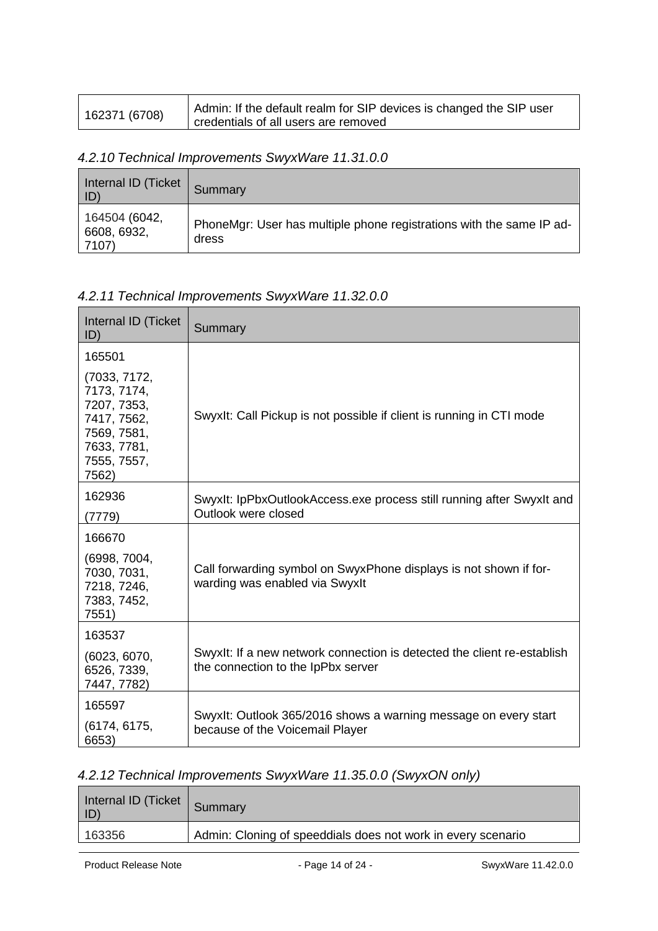| 162371 (6708) | Admin: If the default realm for SIP devices is changed the SIP user |
|---------------|---------------------------------------------------------------------|
|               | credentials of all users are removed                                |

### <span id="page-13-0"></span>*4.2.10 Technical Improvements SwyxWare 11.31.0.0*

| Internal ID (Ticket<br>$ D\rangle$    | Summary                                                                       |
|---------------------------------------|-------------------------------------------------------------------------------|
| 164504 (6042,<br>6608, 6932,<br>7107) | PhoneMgr: User has multiple phone registrations with the same IP ad-<br>dress |

### <span id="page-13-1"></span>*4.2.11 Technical Improvements SwyxWare 11.32.0.0*

| Internal ID (Ticket<br>ID)                                                                                      | Summary                                                                                                       |
|-----------------------------------------------------------------------------------------------------------------|---------------------------------------------------------------------------------------------------------------|
| 165501                                                                                                          |                                                                                                               |
| (7033, 7172,<br>7173, 7174,<br>7207, 7353,<br>7417, 7562,<br>7569, 7581,<br>7633, 7781,<br>7555, 7557,<br>7562) | Swyxlt: Call Pickup is not possible if client is running in CTI mode                                          |
| 162936<br>(7779)                                                                                                | Swyxlt: IpPbxOutlookAccess.exe process still running after Swyxlt and<br>Outlook were closed                  |
| 166670                                                                                                          |                                                                                                               |
| (6998, 7004,<br>7030, 7031,<br>7218, 7246,<br>7383, 7452,<br>7551)                                              | Call forwarding symbol on SwyxPhone displays is not shown if for-<br>warding was enabled via Swyxlt           |
| 163537                                                                                                          |                                                                                                               |
| (6023, 6070,<br>6526, 7339,<br>7447, 7782)                                                                      | Swyxlt: If a new network connection is detected the client re-establish<br>the connection to the IpPbx server |
| 165597<br>(6174, 6175,<br>6653)                                                                                 | Swyxlt: Outlook 365/2016 shows a warning message on every start<br>because of the Voicemail Player            |

### <span id="page-13-2"></span>*4.2.12 Technical Improvements SwyxWare 11.35.0.0 (SwyxON only)*

| Internal ID (Ticket   Summary<br>$ $ ID) |                                                              |
|------------------------------------------|--------------------------------------------------------------|
| 163356                                   | Admin: Cloning of speeddials does not work in every scenario |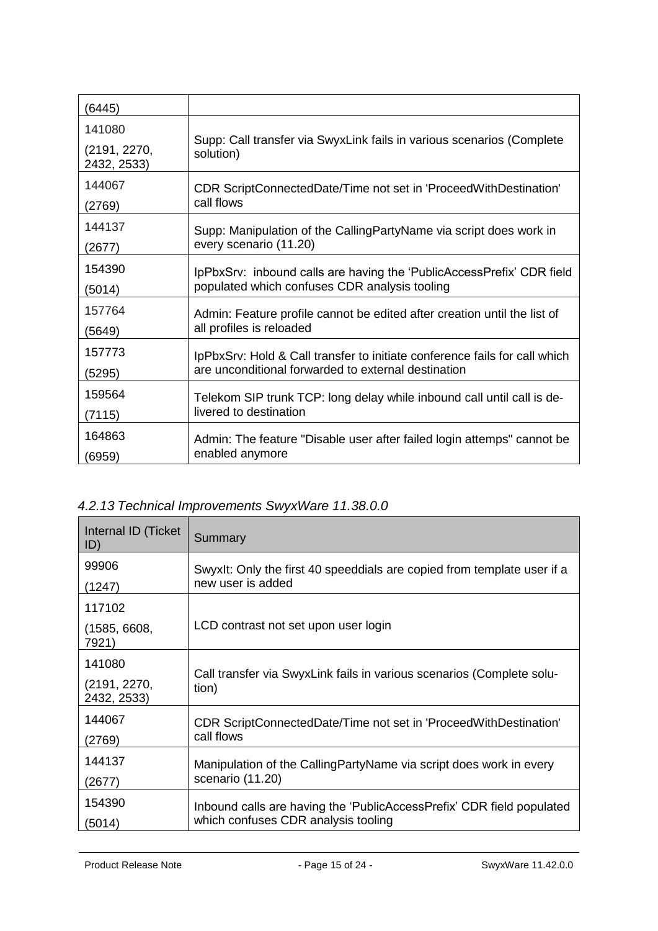| (6445)                      |                                                                                    |
|-----------------------------|------------------------------------------------------------------------------------|
| 141080                      |                                                                                    |
| (2191, 2270,<br>2432, 2533) | Supp: Call transfer via SwyxLink fails in various scenarios (Complete<br>solution) |
| 144067                      | CDR ScriptConnectedDate/Time not set in 'ProceedWithDestination'                   |
| (2769)                      | call flows                                                                         |
| 144137                      | Supp: Manipulation of the CallingPartyName via script does work in                 |
| (2677)                      | every scenario (11.20)                                                             |
| 154390                      | IpPbxSrv: inbound calls are having the 'PublicAccessPrefix' CDR field              |
| (5014)                      | populated which confuses CDR analysis tooling                                      |
| 157764                      | Admin: Feature profile cannot be edited after creation until the list of           |
| (5649)                      | all profiles is reloaded                                                           |
| 157773                      | IpPbxSrv: Hold & Call transfer to initiate conference fails for call which         |
| (5295)                      | are unconditional forwarded to external destination                                |
| 159564                      | Telekom SIP trunk TCP: long delay while inbound call until call is de-             |
| (7115)                      | livered to destination                                                             |
| 164863                      | Admin: The feature "Disable user after failed login attemps" cannot be             |
| (6959)                      | enabled anymore                                                                    |

# <span id="page-14-0"></span>*4.2.13 Technical Improvements SwyxWare 11.38.0.0*

| Internal ID (Ticket<br>ID)  | Summary                                                                        |
|-----------------------------|--------------------------------------------------------------------------------|
| 99906                       | SwyxIt: Only the first 40 speeddials are copied from template user if a        |
| (1247)                      | new user is added                                                              |
| 117102                      |                                                                                |
| (1585, 6608,<br>7921)       | LCD contrast not set upon user login                                           |
| 141080                      |                                                                                |
| (2191, 2270,<br>2432, 2533) | Call transfer via SwyxLink fails in various scenarios (Complete solu-<br>tion) |
| 144067                      | CDR ScriptConnectedDate/Time not set in 'ProceedWithDestination'               |
| (2769)                      | call flows                                                                     |
| 144137                      | Manipulation of the CallingPartyName via script does work in every             |
| (2677)                      | scenario (11.20)                                                               |
| 154390                      | Inbound calls are having the 'PublicAccessPrefix' CDR field populated          |
| (5014)                      | which confuses CDR analysis tooling                                            |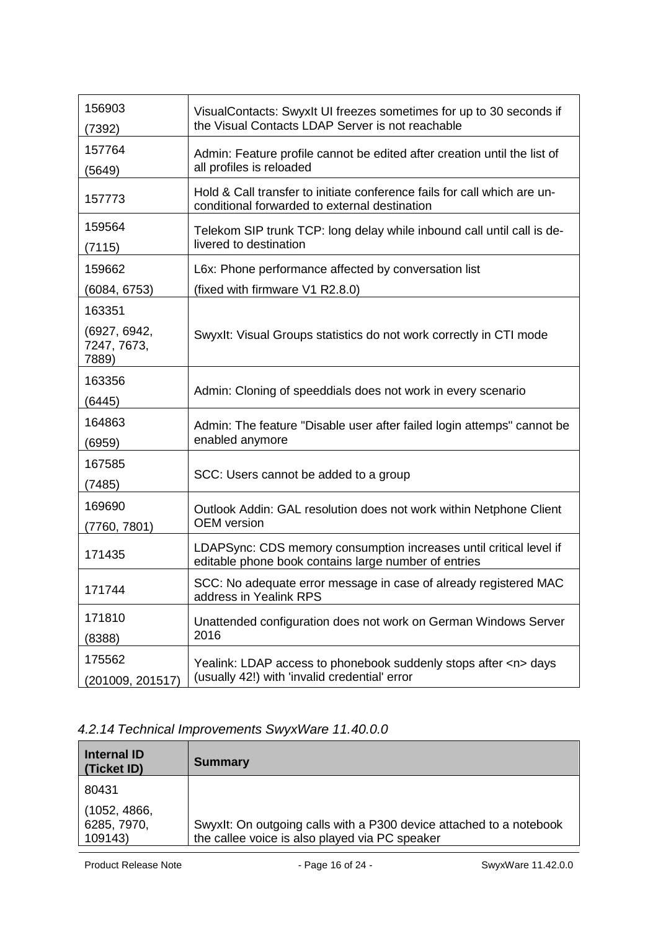| 156903                               | VisualContacts: Swyxlt UI freezes sometimes for up to 30 seconds if                                                        |
|--------------------------------------|----------------------------------------------------------------------------------------------------------------------------|
| (7392)                               | the Visual Contacts LDAP Server is not reachable                                                                           |
| 157764                               | Admin: Feature profile cannot be edited after creation until the list of                                                   |
| (5649)                               | all profiles is reloaded                                                                                                   |
| 157773                               | Hold & Call transfer to initiate conference fails for call which are un-<br>conditional forwarded to external destination  |
| 159564                               | Telekom SIP trunk TCP: long delay while inbound call until call is de-                                                     |
| (7115)                               | livered to destination                                                                                                     |
| 159662                               | L6x: Phone performance affected by conversation list                                                                       |
| (6084, 6753)                         | (fixed with firmware V1 R2.8.0)                                                                                            |
| 163351                               |                                                                                                                            |
| (6927, 6942,<br>7247, 7673,<br>7889) | Swyxlt: Visual Groups statistics do not work correctly in CTI mode                                                         |
| 163356                               |                                                                                                                            |
| (6445)                               | Admin: Cloning of speeddials does not work in every scenario                                                               |
| 164863                               | Admin: The feature "Disable user after failed login attemps" cannot be                                                     |
| (6959)                               | enabled anymore                                                                                                            |
| 167585                               | SCC: Users cannot be added to a group                                                                                      |
| (7485)                               |                                                                                                                            |
| 169690                               | Outlook Addin: GAL resolution does not work within Netphone Client                                                         |
| (7760, 7801)                         | <b>OEM</b> version                                                                                                         |
| 171435                               | LDAPSync: CDS memory consumption increases until critical level if<br>editable phone book contains large number of entries |
| 171744                               | SCC: No adequate error message in case of already registered MAC<br>address in Yealink RPS                                 |
| 171810                               | Unattended configuration does not work on German Windows Server                                                            |
| (8388)                               | 2016                                                                                                                       |
| 175562                               | Yealink: LDAP access to phonebook suddenly stops after <n> days</n>                                                        |
| (201009, 201517)                     | (usually 42!) with 'invalid credential' error                                                                              |

## <span id="page-15-0"></span>*4.2.14 Technical Improvements SwyxWare 11.40.0.0*

| Internal ID<br>(Ticket ID)  | <b>Summary</b>                                                      |
|-----------------------------|---------------------------------------------------------------------|
| 80431                       |                                                                     |
| (1052, 4866,<br>6285, 7970, | Swyxlt: On outgoing calls with a P300 device attached to a notebook |
| 109143)                     | the callee voice is also played via PC speaker                      |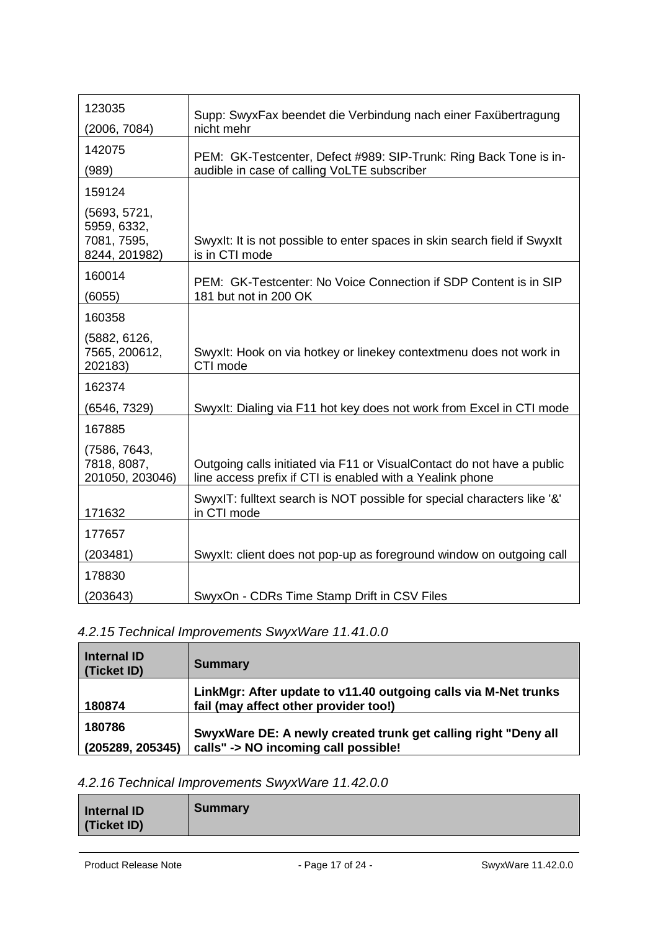| 123035                                                      | Supp: SwyxFax beendet die Verbindung nach einer Faxübertragung                                                                      |
|-------------------------------------------------------------|-------------------------------------------------------------------------------------------------------------------------------------|
| (2006, 7084)                                                | nicht mehr                                                                                                                          |
| 142075                                                      | PEM: GK-Testcenter, Defect #989: SIP-Trunk: Ring Back Tone is in-                                                                   |
| (989)                                                       | audible in case of calling VoLTE subscriber                                                                                         |
| 159124                                                      |                                                                                                                                     |
| (5693, 5721,<br>5959, 6332,<br>7081, 7595,<br>8244, 201982) | Swyxlt: It is not possible to enter spaces in skin search field if Swyxlt<br>is in CTI mode                                         |
| 160014<br>(6055)                                            | PEM: GK-Testcenter: No Voice Connection if SDP Content is in SIP<br>181 but not in 200 OK                                           |
| 160358                                                      |                                                                                                                                     |
| (5882, 6126,<br>7565, 200612,<br>202183)                    | Swyxlt: Hook on via hotkey or linekey contextmenu does not work in<br>CTI mode                                                      |
| 162374                                                      |                                                                                                                                     |
| (6546, 7329)                                                | Swyxlt: Dialing via F11 hot key does not work from Excel in CTI mode                                                                |
| 167885                                                      |                                                                                                                                     |
| (7586, 7643,<br>7818, 8087,<br>201050, 203046)              | Outgoing calls initiated via F11 or VisualContact do not have a public<br>line access prefix if CTI is enabled with a Yealink phone |
|                                                             | SwyxIT: fulltext search is NOT possible for special characters like '&'                                                             |
| 171632                                                      | in CTI mode                                                                                                                         |
| 177657                                                      |                                                                                                                                     |
| (203481)                                                    | Swyxlt: client does not pop-up as foreground window on outgoing call                                                                |
| 178830                                                      |                                                                                                                                     |
| (203643)                                                    | SwyxOn - CDRs Time Stamp Drift in CSV Files                                                                                         |

# <span id="page-16-0"></span>*4.2.15 Technical Improvements SwyxWare 11.41.0.0*

| <b>Internal ID</b><br>(Ticket ID) | <b>Summary</b>                                                                                           |
|-----------------------------------|----------------------------------------------------------------------------------------------------------|
| 180874                            | LinkMgr: After update to v11.40 outgoing calls via M-Net trunks<br>fail (may affect other provider too!) |
| 180786<br>(205289, 205345)        | SwyxWare DE: A newly created trunk get calling right "Deny all<br>calls" -> NO incoming call possible!   |

## <span id="page-16-1"></span>*4.2.16 Technical Improvements SwyxWare 11.42.0.0*

| <b>Internal ID</b><br>(Ticket ID) | <b>Summary</b> |
|-----------------------------------|----------------|
|-----------------------------------|----------------|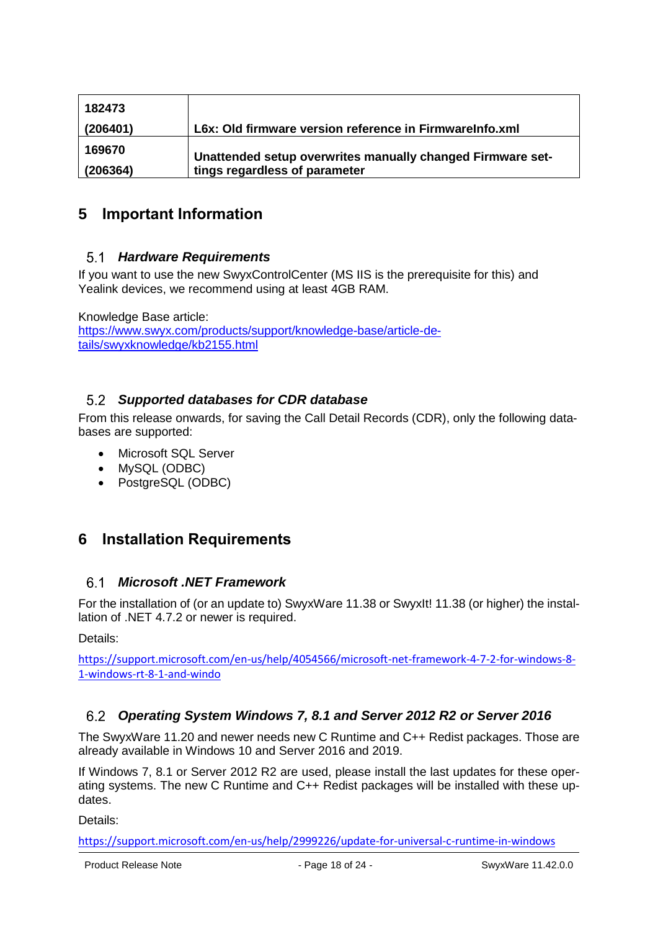| 182473   |                                                            |
|----------|------------------------------------------------------------|
| (206401) | L6x: Old firmware version reference in FirmwareInfo.xml    |
| 169670   | Unattended setup overwrites manually changed Firmware set- |
| (206364) | tings regardless of parameter                              |

## <span id="page-17-1"></span><span id="page-17-0"></span>**5 Important Information**

#### *Hardware Requirements*

If you want to use the new SwyxControlCenter (MS IIS is the prerequisite for this) and Yealink devices, we recommend using at least 4GB RAM.

Knowledge Base article: [https://www.swyx.com/products/support/knowledge-base/article-de](https://www.swyx.com/products/support/knowledge-base/article-details/swyxknowledge/kb2155.html)[tails/swyxknowledge/kb2155.html](https://www.swyx.com/products/support/knowledge-base/article-details/swyxknowledge/kb2155.html)

#### <span id="page-17-2"></span>*Supported databases for CDR database*

From this release onwards, for saving the Call Detail Records (CDR), only the following databases are supported:

- Microsoft SQL Server
- MySQL (ODBC)
- PostgreSQL (ODBC)

## <span id="page-17-4"></span><span id="page-17-3"></span>**6 Installation Requirements**

#### *Microsoft .NET Framework*

For the installation of (or an update to) SwyxWare 11.38 or SwyxIt! 11.38 (or higher) the installation of .NET 4.7.2 or newer is required.

Details:

[https://support.microsoft.com/en-us/help/4054566/microsoft-net-framework-4-7-2-for-windows-8-](https://support.microsoft.com/en-us/help/4054566/microsoft-net-framework-4-7-2-for-windows-8-1-windows-rt-8-1-and-windo) [1-windows-rt-8-1-and-windo](https://support.microsoft.com/en-us/help/4054566/microsoft-net-framework-4-7-2-for-windows-8-1-windows-rt-8-1-and-windo)

#### <span id="page-17-5"></span> $6.2$ *Operating System Windows 7, 8.1 and Server 2012 R2 or Server 2016*

The SwyxWare 11.20 and newer needs new C Runtime and C++ Redist packages. Those are already available in Windows 10 and Server 2016 and 2019.

If Windows 7, 8.1 or Server 2012 R2 are used, please install the last updates for these operating systems. The new C Runtime and C++ Redist packages will be installed with these updates.

Details:

<https://support.microsoft.com/en-us/help/2999226/update-for-universal-c-runtime-in-windows>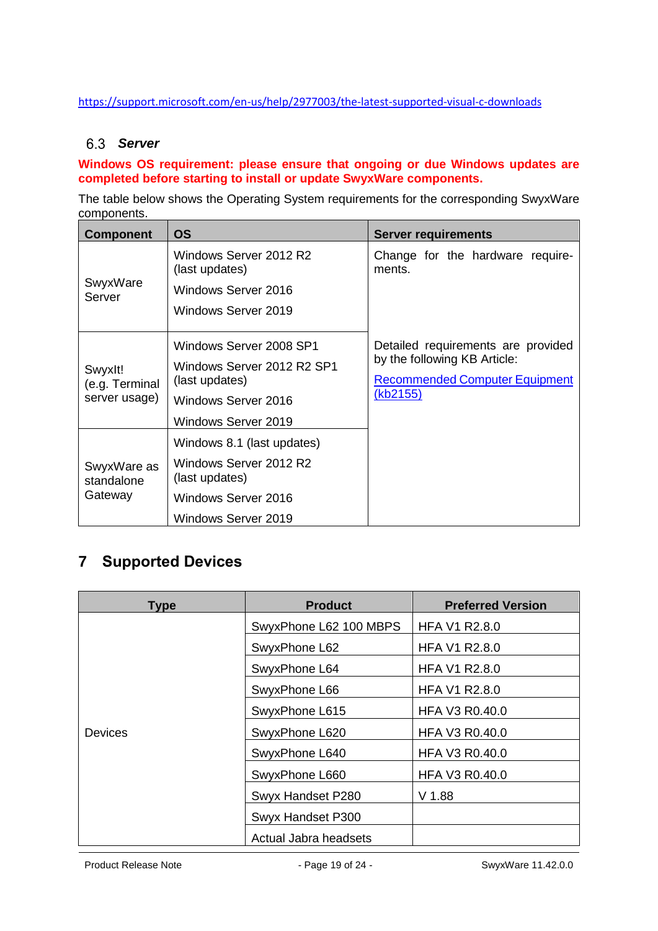#### <span id="page-18-0"></span>https://support.microsoft.com/en-us/help/2977003/the-latest-supported-visual-c-downloads

#### *Server*

#### **Windows OS requirement: please ensure that ongoing or due Windows updates are completed before starting to install or update SwyxWare components.**

The table below shows the Operating System requirements for the corresponding SwyxWare components.

| <b>Component</b>                           | <b>OS</b>                                                                                                             | <b>Server requirements</b>                                                                                              |
|--------------------------------------------|-----------------------------------------------------------------------------------------------------------------------|-------------------------------------------------------------------------------------------------------------------------|
| SwyxWare<br>Server                         | Windows Server 2012 R2<br>(last updates)<br>Windows Server 2016<br>Windows Server 2019                                | Change for the hardware require-<br>ments.                                                                              |
| Swyxlt!<br>(e.g. Terminal<br>server usage) | Windows Server 2008 SP1<br>Windows Server 2012 R2 SP1<br>(last updates)<br>Windows Server 2016<br>Windows Server 2019 | Detailed requirements are provided<br>by the following KB Article:<br><b>Recommended Computer Equipment</b><br>(kb2155) |
| SwyxWare as<br>standalone<br>Gateway       | Windows 8.1 (last updates)<br>Windows Server 2012 R2<br>(last updates)<br>Windows Server 2016<br>Windows Server 2019  |                                                                                                                         |

## <span id="page-18-1"></span>**7 Supported Devices**

| <b>Type</b>    | <b>Product</b>         | <b>Preferred Version</b> |
|----------------|------------------------|--------------------------|
|                | SwyxPhone L62 100 MBPS | <b>HFA V1 R2.8.0</b>     |
|                | SwyxPhone L62          | <b>HFA V1 R2.8.0</b>     |
|                | SwyxPhone L64          | <b>HFA V1 R2.8.0</b>     |
|                | SwyxPhone L66          | <b>HFA V1 R2.8.0</b>     |
|                | SwyxPhone L615         | <b>HFA V3 R0.40.0</b>    |
| <b>Devices</b> | SwyxPhone L620         | HFA V3 R0.40.0           |
|                | SwyxPhone L640         | <b>HFA V3 R0.40.0</b>    |
|                | SwyxPhone L660         | <b>HFA V3 R0.40.0</b>    |
|                | Swyx Handset P280      | $V$ 1.88                 |
|                | Swyx Handset P300      |                          |
|                | Actual Jabra headsets  |                          |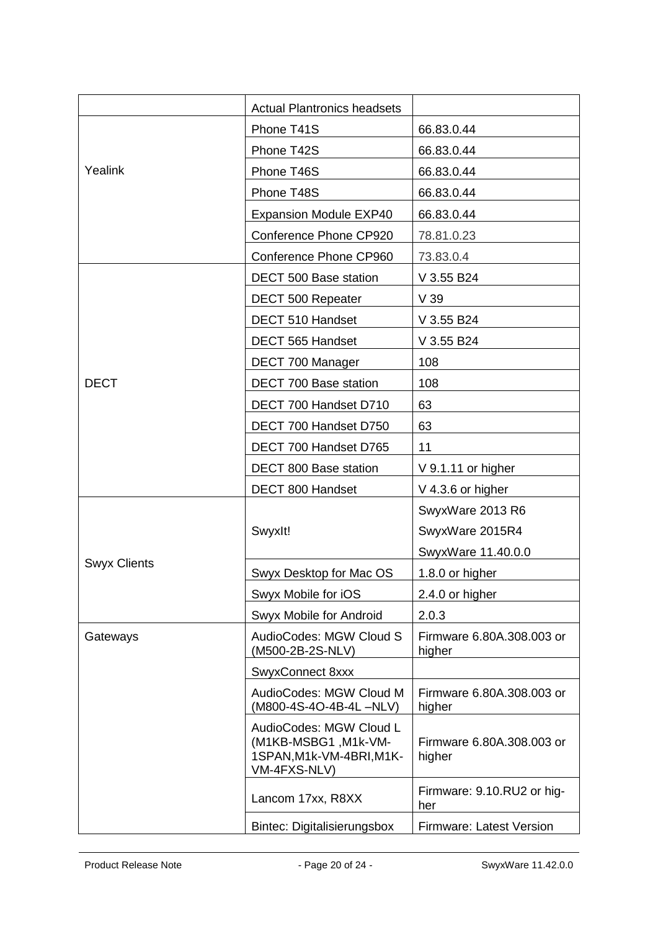|                     | <b>Actual Plantronics headsets</b>                                                          |                                     |
|---------------------|---------------------------------------------------------------------------------------------|-------------------------------------|
|                     | Phone T41S                                                                                  | 66.83.0.44                          |
|                     | Phone T42S                                                                                  | 66.83.0.44                          |
| Yealink             | Phone T46S                                                                                  | 66.83.0.44                          |
|                     | Phone T48S                                                                                  | 66.83.0.44                          |
|                     | <b>Expansion Module EXP40</b>                                                               | 66.83.0.44                          |
|                     | Conference Phone CP920                                                                      | 78.81.0.23                          |
|                     | Conference Phone CP960                                                                      | 73.83.0.4                           |
|                     | DECT 500 Base station                                                                       | V 3.55 B24                          |
|                     | DECT 500 Repeater                                                                           | V <sub>39</sub>                     |
|                     | DECT 510 Handset                                                                            | V 3.55 B24                          |
|                     | DECT 565 Handset                                                                            | V 3.55 B24                          |
|                     | DECT 700 Manager                                                                            | 108                                 |
| <b>DECT</b>         | DECT 700 Base station                                                                       | 108                                 |
|                     | DECT 700 Handset D710                                                                       | 63                                  |
|                     | DECT 700 Handset D750                                                                       | 63                                  |
|                     | DECT 700 Handset D765                                                                       | 11                                  |
|                     | DECT 800 Base station                                                                       | V 9.1.11 or higher                  |
|                     | DECT 800 Handset                                                                            | V 4.3.6 or higher                   |
|                     |                                                                                             | SwyxWare 2013 R6                    |
|                     | Swyxlt!                                                                                     | SwyxWare 2015R4                     |
|                     |                                                                                             | SwyxWare 11.40.0.0                  |
| <b>Swyx Clients</b> | Swyx Desktop for Mac OS                                                                     | 1.8.0 or higher                     |
|                     | Swyx Mobile for iOS                                                                         | 2.4.0 or higher                     |
|                     | Swyx Mobile for Android                                                                     | 2.0.3                               |
| Gateways            | AudioCodes: MGW Cloud S<br>(M500-2B-2S-NLV)                                                 | Firmware 6.80A.308.003 or<br>higher |
|                     | SwyxConnect 8xxx                                                                            |                                     |
|                     | AudioCodes: MGW Cloud M<br>(M800-4S-4O-4B-4L-NLV)                                           | Firmware 6.80A.308.003 or<br>higher |
|                     | AudioCodes: MGW Cloud L<br>(M1KB-MSBG1, M1k-VM-<br>1SPAN, M1k-VM-4BRI, M1K-<br>VM-4FXS-NLV) | Firmware 6.80A.308.003 or<br>higher |
|                     | Lancom 17xx, R8XX                                                                           | Firmware: 9.10.RU2 or hig-<br>her   |
|                     | <b>Bintec: Digitalisierungsbox</b>                                                          | <b>Firmware: Latest Version</b>     |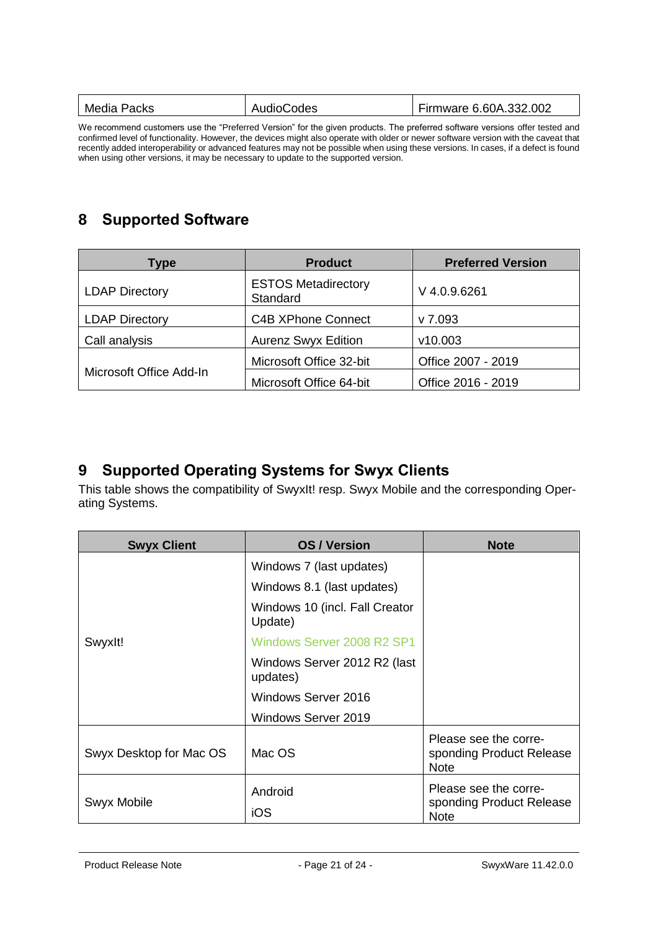| Media Packs | AudioCodes | Firmware 6.60A.332.002 |
|-------------|------------|------------------------|
|             |            |                        |

We recommend customers use the "Preferred Version" for the given products. The preferred software versions offer tested and confirmed level of functionality. However, the devices might also operate with older or newer software version with the caveat that recently added interoperability or advanced features may not be possible when using these versions. In cases, if a defect is found when using other versions, it may be necessary to update to the supported version.

## <span id="page-20-0"></span>**8 Supported Software**

| Type                    | <b>Product</b>                         | <b>Preferred Version</b> |
|-------------------------|----------------------------------------|--------------------------|
| <b>LDAP Directory</b>   | <b>ESTOS Metadirectory</b><br>Standard | $V$ 4.0.9.6261           |
| <b>LDAP Directory</b>   | <b>C4B XPhone Connect</b>              | v 7.093                  |
| Call analysis           | <b>Aurenz Swyx Edition</b>             | v10.003                  |
|                         | Microsoft Office 32-bit                | Office 2007 - 2019       |
| Microsoft Office Add-In | Microsoft Office 64-bit                | Office 2016 - 2019       |

## <span id="page-20-1"></span>**9 Supported Operating Systems for Swyx Clients**

This table shows the compatibility of SwyxIt! resp. Swyx Mobile and the corresponding Operating Systems.

| <b>Swyx Client</b>      | <b>OS/Version</b>                         | <b>Note</b>                                                      |
|-------------------------|-------------------------------------------|------------------------------------------------------------------|
|                         | Windows 7 (last updates)                  |                                                                  |
|                         | Windows 8.1 (last updates)                |                                                                  |
|                         | Windows 10 (incl. Fall Creator<br>Update) |                                                                  |
| Swyxlt!                 | Windows Server 2008 R2 SP1                |                                                                  |
|                         | Windows Server 2012 R2 (last<br>updates)  |                                                                  |
|                         | Windows Server 2016                       |                                                                  |
|                         | Windows Server 2019                       |                                                                  |
| Swyx Desktop for Mac OS | Mac OS                                    | Please see the corre-<br>sponding Product Release<br><b>Note</b> |
| Swyx Mobile             | Android                                   | Please see the corre-<br>sponding Product Release                |
|                         | iOS                                       | <b>Note</b>                                                      |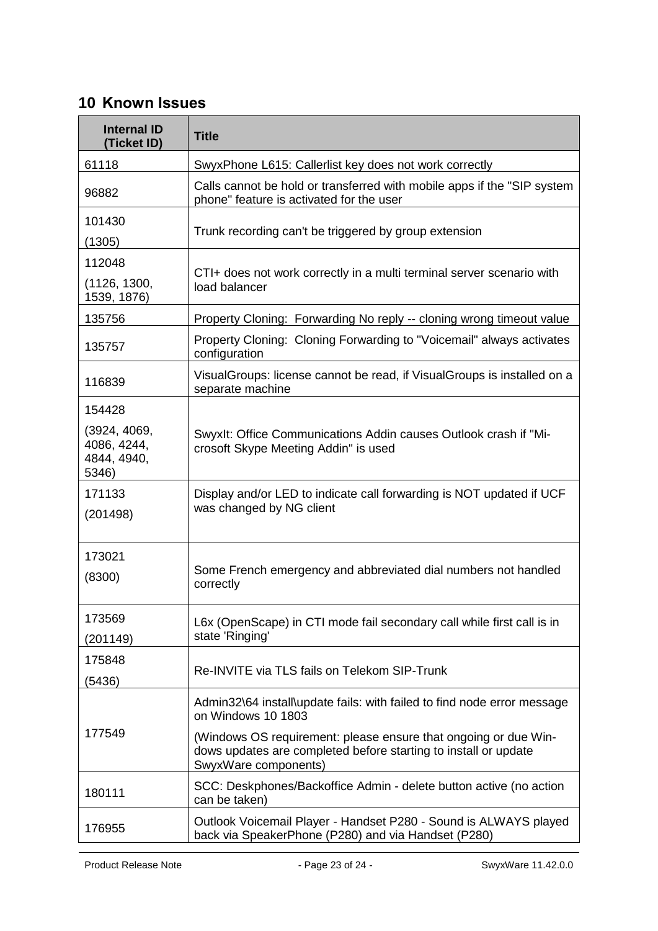## <span id="page-22-0"></span>**10 Known Issues**

| <b>Internal ID</b><br>(Ticket ID)                   | <b>Title</b>                                                                                                                                               |
|-----------------------------------------------------|------------------------------------------------------------------------------------------------------------------------------------------------------------|
| 61118                                               | SwyxPhone L615: Callerlist key does not work correctly                                                                                                     |
| 96882                                               | Calls cannot be hold or transferred with mobile apps if the "SIP system"<br>phone" feature is activated for the user                                       |
| 101430<br>(1305)                                    | Trunk recording can't be triggered by group extension                                                                                                      |
| 112048<br>(1126, 1300,<br>1539, 1876)               | CTI+ does not work correctly in a multi terminal server scenario with<br>load balancer                                                                     |
| 135756                                              | Property Cloning: Forwarding No reply -- cloning wrong timeout value                                                                                       |
| 135757                                              | Property Cloning: Cloning Forwarding to "Voicemail" always activates<br>configuration                                                                      |
| 116839                                              | VisualGroups: license cannot be read, if VisualGroups is installed on a<br>separate machine                                                                |
| 154428                                              |                                                                                                                                                            |
| (3924, 4069,<br>4086, 4244,<br>4844, 4940,<br>5346) | Swyxlt: Office Communications Addin causes Outlook crash if "Mi-<br>crosoft Skype Meeting Addin" is used                                                   |
| 171133<br>(201498)                                  | Display and/or LED to indicate call forwarding is NOT updated if UCF<br>was changed by NG client                                                           |
| 173021<br>(8300)                                    | Some French emergency and abbreviated dial numbers not handled<br>correctly                                                                                |
| 173569<br>(201149)                                  | L6x (OpenScape) in CTI mode fail secondary call while first call is in<br>state 'Ringing'                                                                  |
| 175848<br>(5436)                                    | Re-INVITE via TLS fails on Telekom SIP-Trunk                                                                                                               |
| 177549                                              | Admin32\64 install\update fails: with failed to find node error message<br>on Windows 10 1803                                                              |
|                                                     | (Windows OS requirement: please ensure that ongoing or due Win-<br>dows updates are completed before starting to install or update<br>SwyxWare components) |
| 180111                                              | SCC: Deskphones/Backoffice Admin - delete button active (no action<br>can be taken)                                                                        |
| 176955                                              | Outlook Voicemail Player - Handset P280 - Sound is ALWAYS played<br>back via SpeakerPhone (P280) and via Handset (P280)                                    |